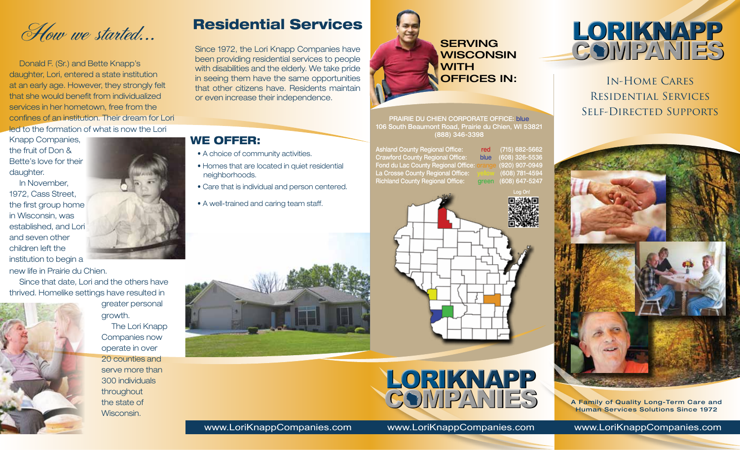How we started...

Donald F. (Sr.) and Bette Knapp's daughter, Lori, entered a state institution at an early age. However, they strongly felt that she would benefit from individualized services in her hometown, free from the confines of an institution. Their dream for Lori led to the formation of what is now the Lori

Knapp Companies, the fruit of Don & Bette's love for their daughter.

In November, 1972, Cass Street, the first group home in Wisconsin, was established, and Lori and seven other children left the institution to begin a new life in Prairie du Chien.

Since that date, Lori and the others have thrived. Homelike settings have resulted in

greater personal

The Lori Knapp Companies now operate in over 20 counties and serve more than 300 individuals throughout the state of Wisconsin.

growth.



# Residential Services

Since 1972, the Lori Knapp Companies have been providing residential services to people with disabilities and the elderly. We take pride in seeing them have the same opportunities that other citizens have. Residents maintain or even increase their independence.



PRAIRIE DU CHIEN CORPORATE OFFICE: blue 106 South Beaumont Road, Prairie du Chien, WI 53821 (888) 346-3398

Ashland County Regional Office: red (715) 682-5662 Crawford County Regional Office: blue (608) 326-5536 Fond du Lac County Regional Office: orange (920) 907-0949 La Crosse County Regional Office: yellow (608) 781-4594 Richland County Regional Office: green (608) 647-5247





In-Home Cares Residential Services Self-Directed Supports



A Family of Quality Long-Term Care and Human Services Solutions Since 1972

# WE OFFER:

- A choice of community activities.
- Homes that are located in quiet residential neighborhoods.
- Care that is individual and person centered.
- A well-trained and caring team staff.





www.LoriKnappCompanies.com www.LoriKnappCompanies.com www.LoriKnappCompanies.com